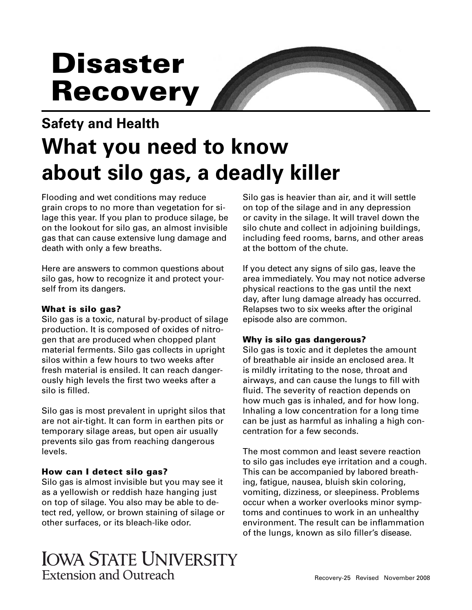# **Disaster Recovery**

## **Safety and Health What you need to know about silo gas, a deadly killer**

Flooding and wet conditions may reduce grain crops to no more than vegetation for silage this year. If you plan to produce silage, be on the lookout for silo gas, an almost invisible gas that can cause extensive lung damage and death with only a few breaths.

Here are answers to common questions about silo gas, how to recognize it and protect yourself from its dangers.

#### **What is silo gas?**

Silo gas is a toxic, natural by-product of silage production. It is composed of oxides of nitrogen that are produced when chopped plant material ferments. Silo gas collects in upright silos within a few hours to two weeks after fresh material is ensiled. It can reach dangerously high levels the first two weeks after a silo is filled.

Silo gas is most prevalent in upright silos that are not air-tight. It can form in earthen pits or temporary silage areas, but open air usually prevents silo gas from reaching dangerous levels.

#### **How can I detect silo gas?**

 as a yellowish or reddish haze hanging just Silo gas is almost invisible but you may see it on top of silage. You also may be able to detect red, yellow, or brown staining of silage or other surfaces, or its bleach-like odor.

Silo gas is heavier than air, and it will settle on top of the silage and in any depression or cavity in the silage. It will travel down the silo chute and collect in adjoining buildings, including feed rooms, barns, and other areas at the bottom of the chute.

If you detect any signs of silo gas, leave the area immediately. You may not notice adverse physical reactions to the gas until the next day, after lung damage already has occurred. Relapses two to six weeks after the original episode also are common.

#### **Why is silo gas dangerous?**

Silo gas is toxic and it depletes the amount of breathable air inside an enclosed area. It is mildly irritating to the nose, throat and airways, and can cause the lungs to fill with fluid. The severity of reaction depends on how much gas is inhaled, and for how long. Inhaling a low concentration for a long time can be just as harmful as inhaling a high concentration for a few seconds.

The most common and least severe reaction to silo gas includes eye irritation and a cough. This can be accompanied by labored breathing, fatigue, nausea, bluish skin coloring, vomiting, dizziness, or sleepiness. Problems occur when a worker overlooks minor symptoms and continues to work in an unhealthy environment. The result can be inflammation of the lungs, known as silo filler's disease.

### IOWA STATE UNIVERSITY Extension and Outreach Recovery-25 Revised November 2008